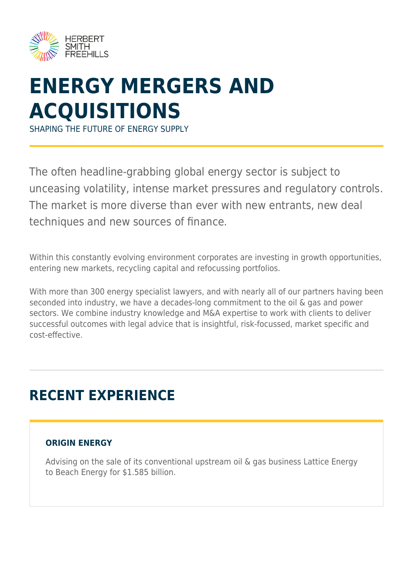

# **ENERGY MERGERS AND ACQUISITIONS**

SHAPING THE FUTURE OF ENERGY SUPPLY

The often headline-grabbing global energy sector is subject to unceasing volatility, intense market pressures and regulatory controls. The market is more diverse than ever with new entrants, new deal techniques and new sources of finance.

Within this constantly evolving environment corporates are investing in growth opportunities, entering new markets, recycling capital and refocussing portfolios.

With more than 300 energy specialist lawyers, and with nearly all of our partners having been seconded into industry, we have a decades-long commitment to the oil & gas and power sectors. We combine industry knowledge and M&A expertise to work with clients to deliver successful outcomes with legal advice that is insightful, risk-focussed, market specific and cost-effective.

## **RECENT EXPERIENCE**

### **ORIGIN ENERGY**

Advising on the sale of its conventional upstream oil & gas business Lattice Energy to Beach Energy for \$1.585 billion.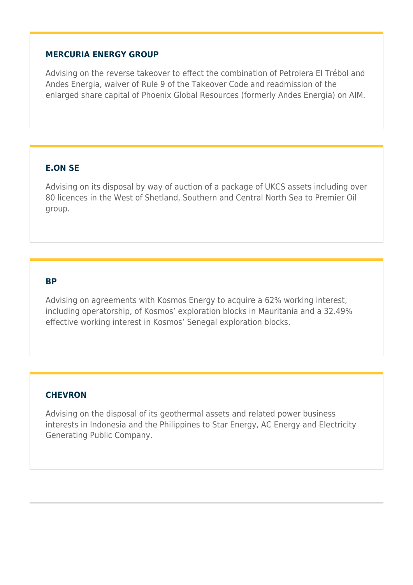#### **MERCURIA ENERGY GROUP**

Advising on the reverse takeover to effect the combination of Petrolera El Trébol and Andes Energia, waiver of Rule 9 of the Takeover Code and readmission of the enlarged share capital of Phoenix Global Resources (formerly Andes Energia) on AIM.

#### **E.ON SE**

Advising on its disposal by way of auction of a package of UKCS assets including over 80 licences in the West of Shetland, Southern and Central North Sea to Premier Oil group.

#### **BP**

Advising on agreements with Kosmos Energy to acquire a 62% working interest, including operatorship, of Kosmos' exploration blocks in Mauritania and a 32.49% effective working interest in Kosmos' Senegal exploration blocks.

#### **CHEVRON**

Advising on the disposal of its geothermal assets and related power business interests in Indonesia and the Philippines to Star Energy, AC Energy and Electricity Generating Public Company.